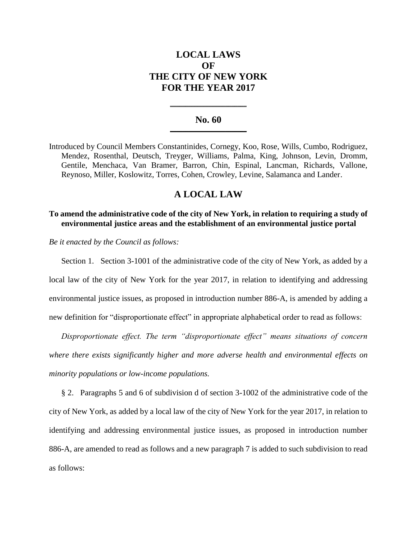# **LOCAL LAWS OF THE CITY OF NEW YORK FOR THE YEAR 2017**

### **No. 60 \_\_\_\_\_\_\_\_\_\_\_\_\_\_\_\_\_\_\_\_\_\_\_\_\_**

**\_\_\_\_\_\_\_\_\_\_\_\_\_\_\_\_\_\_\_\_\_\_\_\_\_**

Introduced by Council Members Constantinides, Cornegy, Koo, Rose, Wills, Cumbo, Rodriguez, Mendez, Rosenthal, Deutsch, Treyger, Williams, Palma, King, Johnson, Levin, Dromm, Gentile, Menchaca, Van Bramer, Barron, Chin, Espinal, Lancman, Richards, Vallone, Reynoso, Miller, Koslowitz, Torres, Cohen, Crowley, Levine, Salamanca and Lander.

## **A LOCAL LAW**

**To amend the administrative code of the city of New York, in relation to requiring a study of environmental justice areas and the establishment of an environmental justice portal**

*Be it enacted by the Council as follows:*

Section 1. Section 3-1001 of the administrative code of the city of New York, as added by a local law of the city of New York for the year 2017, in relation to identifying and addressing environmental justice issues, as proposed in introduction number 886-A, is amended by adding a new definition for "disproportionate effect" in appropriate alphabetical order to read as follows:

*Disproportionate effect. The term "disproportionate effect" means situations of concern where there exists significantly higher and more adverse health and environmental effects on minority populations or low-income populations.* 

§ 2. Paragraphs 5 and 6 of subdivision d of section 3-1002 of the administrative code of the city of New York, as added by a local law of the city of New York for the year 2017, in relation to identifying and addressing environmental justice issues, as proposed in introduction number 886-A, are amended to read as follows and a new paragraph 7 is added to such subdivision to read as follows: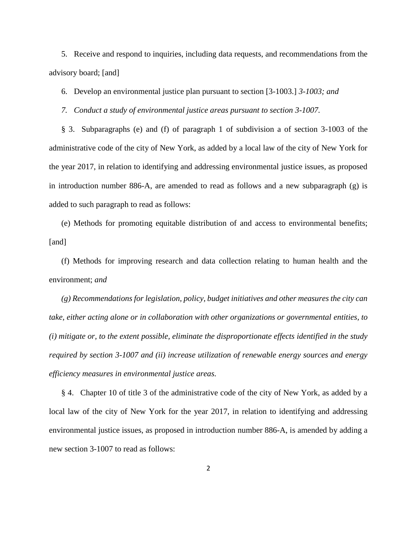5. Receive and respond to inquiries, including data requests, and recommendations from the advisory board; [and]

6. Develop an environmental justice plan pursuant to section [3-1003.] *3-1003; and*

*7. Conduct a study of environmental justice areas pursuant to section 3-1007.*

§ 3. Subparagraphs (e) and (f) of paragraph 1 of subdivision a of section 3-1003 of the administrative code of the city of New York, as added by a local law of the city of New York for the year 2017, in relation to identifying and addressing environmental justice issues, as proposed in introduction number 886-A, are amended to read as follows and a new subparagraph  $(g)$  is added to such paragraph to read as follows:

(e) Methods for promoting equitable distribution of and access to environmental benefits; [and]

(f) Methods for improving research and data collection relating to human health and the environment; *and*

*(g) Recommendations for legislation, policy, budget initiatives and other measures the city can take, either acting alone or in collaboration with other organizations or governmental entities, to (i) mitigate or, to the extent possible, eliminate the disproportionate effects identified in the study required by section 3-1007 and (ii) increase utilization of renewable energy sources and energy efficiency measures in environmental justice areas.*

§ 4. Chapter 10 of title 3 of the administrative code of the city of New York, as added by a local law of the city of New York for the year 2017, in relation to identifying and addressing environmental justice issues, as proposed in introduction number 886-A, is amended by adding a new section 3-1007 to read as follows: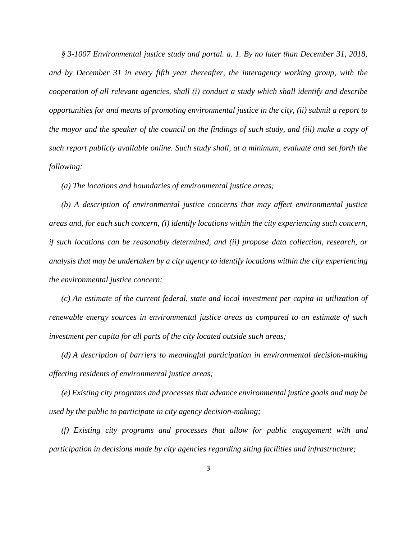*§ 3-1007 Environmental justice study and portal. a. 1. By no later than December 31, 2018, and by December 31 in every fifth year thereafter, the interagency working group, with the cooperation of all relevant agencies, shall (i) conduct a study which shall identify and describe opportunities for and means of promoting environmental justice in the city, (ii) submit a report to the mayor and the speaker of the council on the findings of such study, and (iii) make a copy of such report publicly available online. Such study shall, at a minimum, evaluate and set forth the following:*

*(a) The locations and boundaries of environmental justice areas;*

*(b) A description of environmental justice concerns that may affect environmental justice areas and, for each such concern, (i) identify locations within the city experiencing such concern, if such locations can be reasonably determined, and (ii) propose data collection, research, or analysis that may be undertaken by a city agency to identify locations within the city experiencing the environmental justice concern;*

*(c) An estimate of the current federal, state and local investment per capita in utilization of renewable energy sources in environmental justice areas as compared to an estimate of such investment per capita for all parts of the city located outside such areas;*

*(d) A description of barriers to meaningful participation in environmental decision-making affecting residents of environmental justice areas;*

*(e) Existing city programs and processes that advance environmental justice goals and may be used by the public to participate in city agency decision-making;*

*(f) Existing city programs and processes that allow for public engagement with and participation in decisions made by city agencies regarding siting facilities and infrastructure;*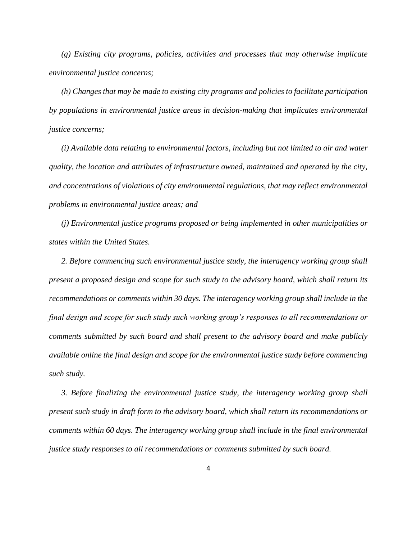*(g) Existing city programs, policies, activities and processes that may otherwise implicate environmental justice concerns;*

*(h) Changes that may be made to existing city programs and policies to facilitate participation by populations in environmental justice areas in decision-making that implicates environmental justice concerns;*

*(i) Available data relating to environmental factors, including but not limited to air and water quality, the location and attributes of infrastructure owned, maintained and operated by the city, and concentrations of violations of city environmental regulations, that may reflect environmental problems in environmental justice areas; and*

*(j) Environmental justice programs proposed or being implemented in other municipalities or states within the United States.*

*2. Before commencing such environmental justice study, the interagency working group shall present a proposed design and scope for such study to the advisory board, which shall return its recommendations or comments within 30 days. The interagency working group shall include in the final design and scope for such study such working group's responses to all recommendations or comments submitted by such board and shall present to the advisory board and make publicly available online the final design and scope for the environmental justice study before commencing such study.*

*3. Before finalizing the environmental justice study, the interagency working group shall present such study in draft form to the advisory board, which shall return its recommendations or comments within 60 days. The interagency working group shall include in the final environmental justice study responses to all recommendations or comments submitted by such board.*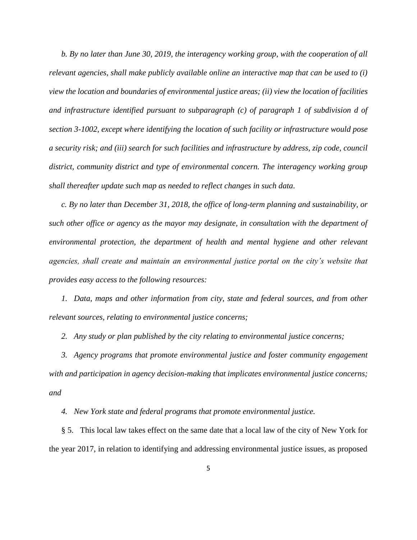*b. By no later than June 30, 2019, the interagency working group, with the cooperation of all relevant agencies, shall make publicly available online an interactive map that can be used to (i) view the location and boundaries of environmental justice areas; (ii) view the location of facilities and infrastructure identified pursuant to subparagraph (c) of paragraph 1 of subdivision d of section 3-1002, except where identifying the location of such facility or infrastructure would pose a security risk; and (iii) search for such facilities and infrastructure by address, zip code, council district, community district and type of environmental concern. The interagency working group shall thereafter update such map as needed to reflect changes in such data.*

*c. By no later than December 31, 2018, the office of long-term planning and sustainability, or such other office or agency as the mayor may designate, in consultation with the department of environmental protection, the department of health and mental hygiene and other relevant agencies, shall create and maintain an environmental justice portal on the city's website that provides easy access to the following resources:*

*1. Data, maps and other information from city, state and federal sources, and from other relevant sources, relating to environmental justice concerns;*

*2. Any study or plan published by the city relating to environmental justice concerns;*

*3. Agency programs that promote environmental justice and foster community engagement with and participation in agency decision-making that implicates environmental justice concerns; and*

*4. New York state and federal programs that promote environmental justice.*

§ 5. This local law takes effect on the same date that a local law of the city of New York for the year 2017, in relation to identifying and addressing environmental justice issues, as proposed